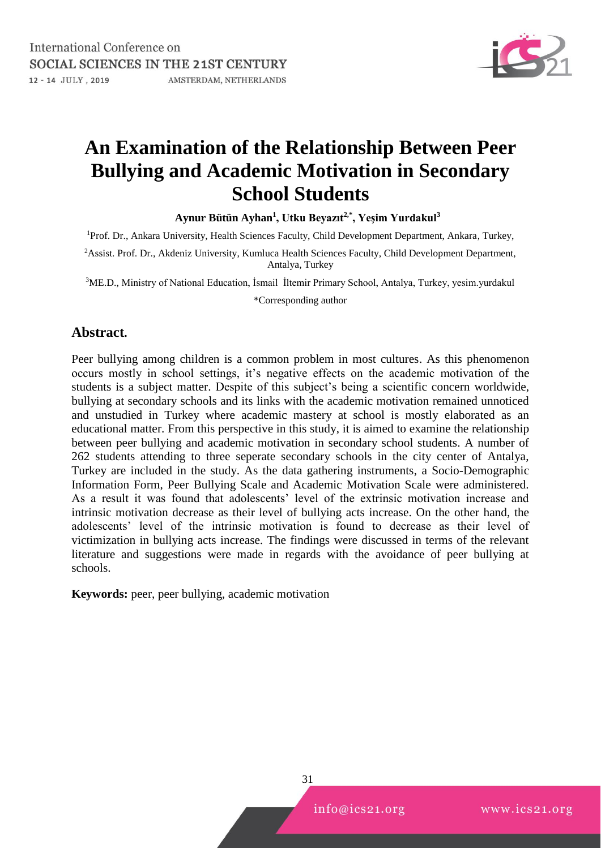

# **An Examination of the Relationship Between Peer Bullying and Academic Motivation in Secondary School Students**

**Aynur Bütün Ayhan<sup>1</sup> , Utku Beyazıt2,\*, Yeşim Yurdakul<sup>3</sup>**

<sup>1</sup>Prof. Dr., Ankara University, Health Sciences Faculty, Child Development Department, Ankara, Turkey,

<sup>2</sup> Assist. Prof. Dr., Akdeniz University, Kumluca Health Sciences Faculty, Child Development Department, Antalya, Turkey

<sup>3</sup>ME.D., Ministry of National Education, İsmail İltemir Primary School, Antalya, Turkey, yesim.yurdakul \*Corresponding author

# **Abstract.**

Peer bullying among children is a common problem in most cultures. As this phenomenon occurs mostly in school settings, it's negative effects on the academic motivation of the students is a subject matter. Despite of this subject's being a scientific concern worldwide, bullying at secondary schools and its links with the academic motivation remained unnoticed and unstudied in Turkey where academic mastery at school is mostly elaborated as an educational matter. From this perspective in this study, it is aimed to examine the relationship between peer bullying and academic motivation in secondary school students. A number of 262 students attending to three seperate secondary schools in the city center of Antalya, Turkey are included in the study. As the data gathering instruments, a Socio-Demographic Information Form, Peer Bullying Scale and Academic Motivation Scale were administered. As a result it was found that adolescents' level of the extrinsic motivation increase and intrinsic motivation decrease as their level of bullying acts increase. On the other hand, the adolescents' level of the intrinsic motivation is found to decrease as their level of victimization in bullying acts increase. The findings were discussed in terms of the relevant literature and suggestions were made in regards with the avoidance of peer bullying at schools.

**Keywords:** peer, peer bullying, academic motivation

31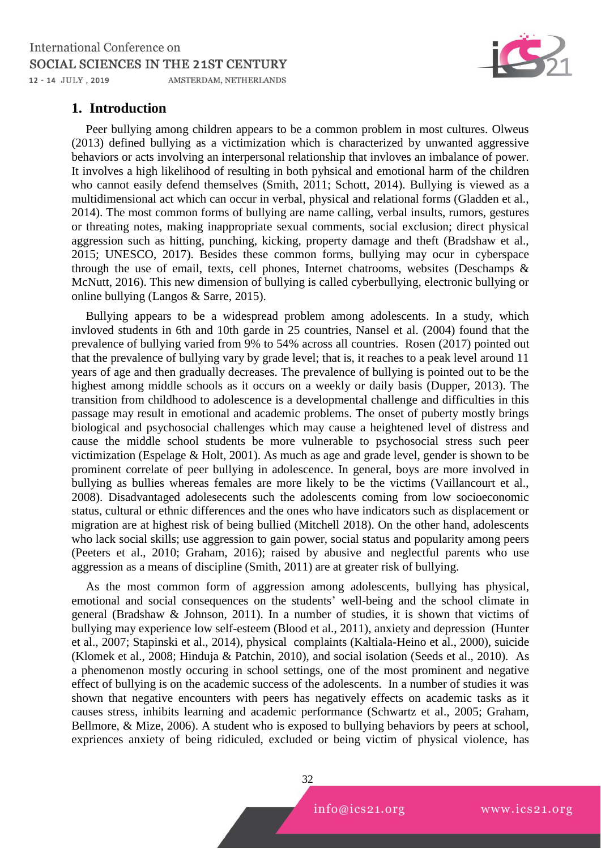

# **1. Introduction**

Peer bullying among children appears to be a common problem in most cultures. Olweus (2013) defined bullying as a victimization which is characterized by unwanted aggressive behaviors or acts involving an interpersonal relationship that invloves an imbalance of power. It involves a high likelihood of resulting in both pyhsical and emotional harm of the children who cannot easily defend themselves (Smith, 2011; Schott, 2014). Bullying is viewed as a multidimensional act which can occur in verbal, physical and relational forms (Gladden et al., 2014). The most common forms of bullying are name calling, verbal insults, rumors, gestures or threating notes, making inappropriate sexual comments, social exclusion; direct physical aggression such as hitting, punching, kicking, property damage and theft (Bradshaw et al., 2015; UNESCO, 2017). Besides these common forms, bullying may ocur in cyberspace through the use of email, texts, cell phones, Internet chatrooms, websites (Deschamps & McNutt, 2016). This new dimension of bullying is called cyberbullying, electronic bullying or online bullying (Langos & Sarre, 2015).

Bullying appears to be a widespread problem among adolescents. In a study, which invloved students in 6th and 10th garde in 25 countries, Nansel et al. (2004) found that the prevalence of bullying varied from 9% to 54% across all countries. Rosen (2017) pointed out that the prevalence of bullying vary by grade level; that is, it reaches to a peak level around 11 years of age and then gradually decreases. The prevalence of bullying is pointed out to be the highest among middle schools as it occurs on a weekly or daily basis (Dupper, 2013). The transition from childhood to adolescence is a developmental challenge and difficulties in this passage may result in emotional and academic problems. The onset of puberty mostly brings biological and psychosocial challenges which may cause a heightened level of distress and cause the middle school students be more vulnerable to psychosocial stress such peer victimization (Espelage & Holt, 2001). As much as age and grade level, gender is shown to be prominent correlate of peer bullying in adolescence. In general, boys are more involved in bullying as bullies whereas females are more likely to be the victims (Vaillancourt et al., 2008). Disadvantaged adolesecents such the adolescents coming from low socioeconomic status, cultural or ethnic differences and the ones who have indicators such as displacement or migration are at highest risk of being bullied (Mitchell 2018). On the other hand, adolescents who lack social skills; use aggression to gain power, social status and popularity among peers (Peeters et al., 2010; Graham, 2016); raised by abusive and neglectful parents who use aggression as a means of discipline (Smith, 2011) are at greater risk of bullying.

As the most common form of aggression among adolescents, bullying has physical, emotional and social consequences on the students' well-being and the school climate in general (Bradshaw & Johnson, 2011). In a number of studies, it is shown that victims of bullying may experience low self-esteem (Blood et al., 2011), anxiety and depression (Hunter et al., 2007; Stapinski et al., 2014), physical complaints (Kaltiala-Heino et al., 2000), suicide (Klomek et al., 2008; Hinduja & Patchin, 2010), and social isolation (Seeds et al., 2010). As a phenomenon mostly occuring in school settings, one of the most prominent and negative effect of bullying is on the academic success of the adolescents. In a number of studies it was shown that negative encounters with peers has negatively effects on academic tasks as it causes stress, inhibits learning and academic performance (Schwartz et al., 2005; Graham, Bellmore, & Mize, 2006). A student who is exposed to bullying behaviors by peers at school, expriences anxiety of being ridiculed, excluded or being victim of physical violence, has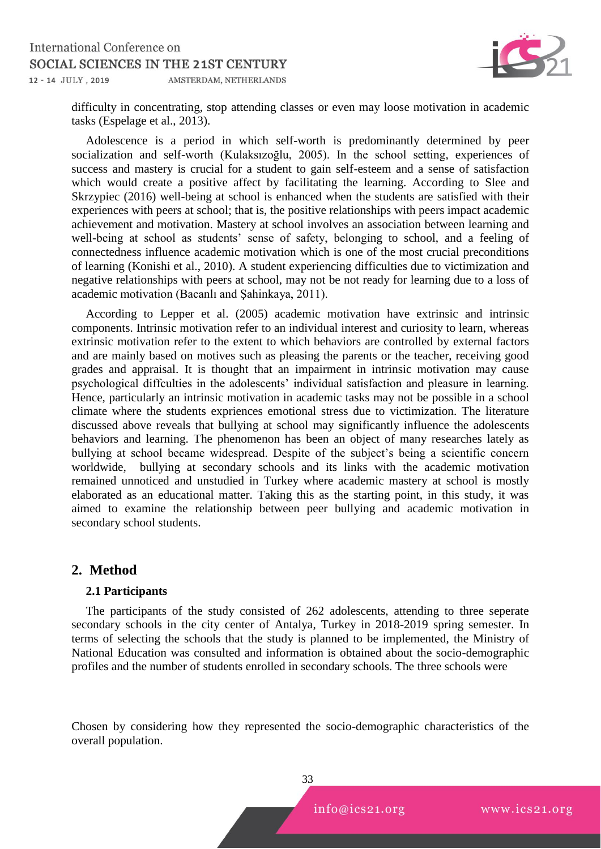

difficulty in concentrating, stop attending classes or even may loose motivation in academic tasks (Espelage et al., 2013).

Adolescence is a period in which self-worth is predominantly determined by peer socialization and self-worth (Kulaksızoğlu, 2005). In the school setting, experiences of success and mastery is crucial for a student to gain self-esteem and a sense of satisfaction which would create a positive affect by facilitating the learning. According to Slee and Skrzypiec (2016) well-being at school is enhanced when the students are satisfied with their experiences with peers at school; that is, the positive relationships with peers impact academic achievement and motivation. Mastery at school involves an association between learning and well-being at school as students' sense of safety, belonging to school, and a feeling of connectedness influence academic motivation which is one of the most crucial preconditions of learning (Konishi et al., 2010). A student experiencing difficulties due to victimization and negative relationships with peers at school, may not be not ready for learning due to a loss of academic motivation (Bacanlı and Şahinkaya, 2011).

According to Lepper et al. (2005) academic motivation have extrinsic and intrinsic components. Intrinsic motivation refer to an individual interest and curiosity to learn, whereas extrinsic motivation refer to the extent to which behaviors are controlled by external factors and are mainly based on motives such as pleasing the parents or the teacher, receiving good grades and appraisal. It is thought that an impairment in intrinsic motivation may cause psychological diffculties in the adolescents' individual satisfaction and pleasure in learning. Hence, particularly an intrinsic motivation in academic tasks may not be possible in a school climate where the students expriences emotional stress due to victimization. The literature discussed above reveals that bullying at school may significantly influence the adolescents behaviors and learning. The phenomenon has been an object of many researches lately as bullying at school became widespread. Despite of the subject's being a scientific concern worldwide, bullying at secondary schools and its links with the academic motivation remained unnoticed and unstudied in Turkey where academic mastery at school is mostly elaborated as an educational matter. Taking this as the starting point, in this study, it was aimed to examine the relationship between peer bullying and academic motivation in secondary school students.

## **2. Method**

#### **2.1 Participants**

The participants of the study consisted of 262 adolescents, attending to three seperate secondary schools in the city center of Antalya, Turkey in 2018-2019 spring semester. In terms of selecting the schools that the study is planned to be implemented, the Ministry of National Education was consulted and information is obtained about the socio-demographic profiles and the number of students enrolled in secondary schools. The three schools were

Chosen by considering how they represented the socio-demographic characteristics of the overall population.



 $info@ics21.org$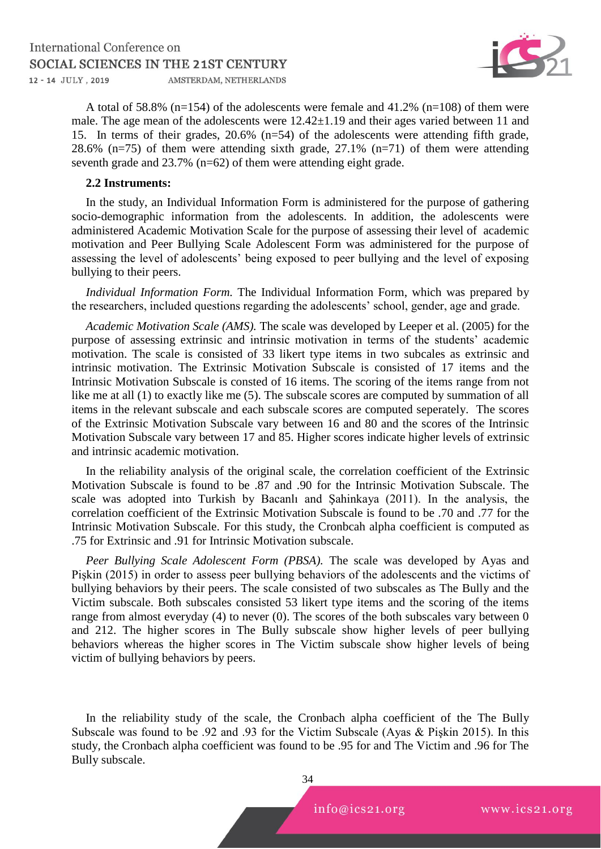

A total of 58.8% ( $n=154$ ) of the adolescents were female and 41.2% ( $n=108$ ) of them were male. The age mean of the adolescents were 12.42±1.19 and their ages varied between 11 and 15. In terms of their grades, 20.6% (n=54) of the adolescents were attending fifth grade, 28.6% (n=75) of them were attending sixth grade, 27.1% (n=71) of them were attending seventh grade and 23.7% (n=62) of them were attending eight grade.

#### **2.2 Instruments:**

In the study, an Individual Information Form is administered for the purpose of gathering socio-demographic information from the adolescents. In addition, the adolescents were administered Academic Motivation Scale for the purpose of assessing their level of academic motivation and Peer Bullying Scale Adolescent Form was administered for the purpose of assessing the level of adolescents' being exposed to peer bullying and the level of exposing bullying to their peers.

*Individual Information Form.* The Individual Information Form, which was prepared by the researchers, included questions regarding the adolescents' school, gender, age and grade.

*Academic Motivation Scale (AMS).* The scale was developed by Leeper et al. (2005) for the purpose of assessing extrinsic and intrinsic motivation in terms of the students' academic motivation. The scale is consisted of 33 likert type items in two subcales as extrinsic and intrinsic motivation. The Extrinsic Motivation Subscale is consisted of 17 items and the Intrinsic Motivation Subscale is consted of 16 items. The scoring of the items range from not like me at all (1) to exactly like me (5). The subscale scores are computed by summation of all items in the relevant subscale and each subscale scores are computed seperately. The scores of the Extrinsic Motivation Subscale vary between 16 and 80 and the scores of the Intrinsic Motivation Subscale vary between 17 and 85. Higher scores indicate higher levels of extrinsic and intrinsic academic motivation.

In the reliability analysis of the original scale, the correlation coefficient of the Extrinsic Motivation Subscale is found to be .87 and .90 for the Intrinsic Motivation Subscale. The scale was adopted into Turkish by Bacanlı and Şahinkaya (2011). In the analysis, the correlation coefficient of the Extrinsic Motivation Subscale is found to be .70 and .77 for the Intrinsic Motivation Subscale. For this study, the Cronbcah alpha coefficient is computed as .75 for Extrinsic and .91 for Intrinsic Motivation subscale.

*Peer Bullying Scale Adolescent Form (PBSA).* The scale was developed by Ayas and Pişkin (2015) in order to assess peer bullying behaviors of the adolescents and the victims of bullying behaviors by their peers. The scale consisted of two subscales as The Bully and the Victim subscale. Both subscales consisted 53 likert type items and the scoring of the items range from almost everyday (4) to never (0). The scores of the both subscales vary between  $0$ and 212. The higher scores in The Bully subscale show higher levels of peer bullying behaviors whereas the higher scores in The Victim subscale show higher levels of being victim of bullying behaviors by peers.

In the reliability study of the scale, the Cronbach alpha coefficient of the The Bully Subscale was found to be .92 and .93 for the Victim Subscale (Ayas & Pişkin 2015). In this study, the Cronbach alpha coefficient was found to be .95 for and The Victim and .96 for The Bully subscale.



 $info@ics21.org$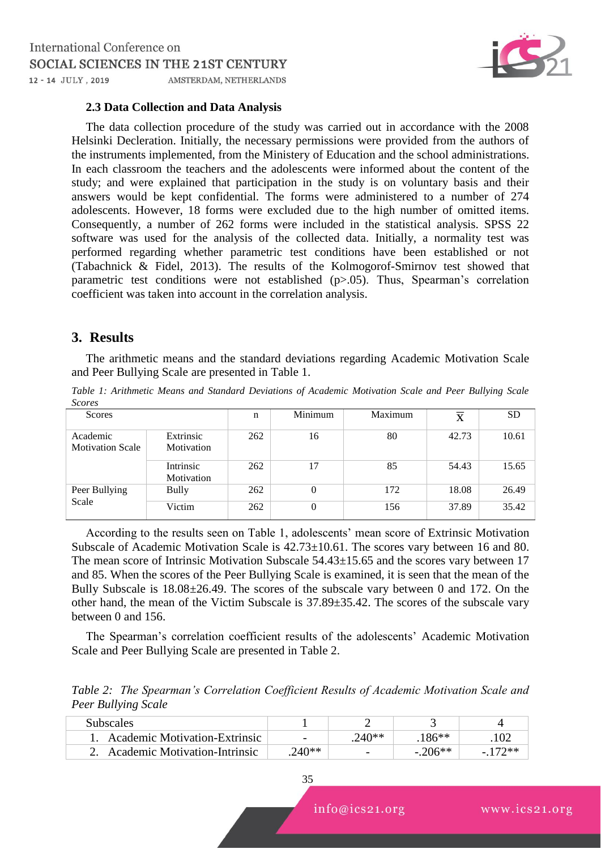

#### **2.3 Data Collection and Data Analysis**

The data collection procedure of the study was carried out in accordance with the 2008 Helsinki Decleration. Initially, the necessary permissions were provided from the authors of the instruments implemented, from the Ministery of Education and the school administrations. In each classroom the teachers and the adolescents were informed about the content of the study; and were explained that participation in the study is on voluntary basis and their answers would be kept confidential. The forms were administered to a number of 274 adolescents. However, 18 forms were excluded due to the high number of omitted items. Consequently, a number of 262 forms were included in the statistical analysis. SPSS 22 software was used for the analysis of the collected data. Initially, a normality test was performed regarding whether parametric test conditions have been established or not (Tabachnick & Fidel, 2013). The results of the Kolmogorof-Smirnov test showed that parametric test conditions were not established (p>.05). Thus, Spearman's correlation coefficient was taken into account in the correlation analysis.

### **3. Results**

The arithmetic means and the standard deviations regarding Academic Motivation Scale and Peer Bullying Scale are presented in Table 1.

*Table 1: Arithmetic Means and Standard Deviations of Academic Motivation Scale and Peer Bullying Scale Scores* 

| <b>Scores</b>                       |                         | n   | Minimum        | Maximum | X     | <b>SD</b> |
|-------------------------------------|-------------------------|-----|----------------|---------|-------|-----------|
| Academic<br><b>Motivation Scale</b> | Extrinsic<br>Motivation | 262 | 16             | 80      | 42.73 | 10.61     |
|                                     | Intrinsic<br>Motivation | 262 | 17             | 85      | 54.43 | 15.65     |
| Peer Bullying<br>Scale              | <b>Bully</b>            | 262 | $\theta$       | 172     | 18.08 | 26.49     |
|                                     | Victim                  | 262 | $\overline{0}$ | 156     | 37.89 | 35.42     |

According to the results seen on Table 1, adolescents' mean score of Extrinsic Motivation Subscale of Academic Motivation Scale is 42.73±10.61. The scores vary between 16 and 80. The mean score of Intrinsic Motivation Subscale 54.43±15.65 and the scores vary between 17 and 85. When the scores of the Peer Bullying Scale is examined, it is seen that the mean of the Bully Subscale is 18.08±26.49. The scores of the subscale vary between 0 and 172. On the other hand, the mean of the Victim Subscale is 37.89±35.42. The scores of the subscale vary between 0 and 156.

The Spearman's correlation coefficient results of the adolescents' Academic Motivation Scale and Peer Bullying Scale are presented in Table 2.

*Table 2: The Spearman's Correlation Coefficient Results of Academic Motivation Scale and Peer Bullying Scale*

| Subscales                        |                          |                          |                                      |        |
|----------------------------------|--------------------------|--------------------------|--------------------------------------|--------|
| Academic Motivation-Extrinsic    | $\overline{\phantom{a}}$ |                          | $86**$                               |        |
| 2. Academic Motivation-Intrinsic | 240**                    | $\overline{\phantom{0}}$ | ነ∩ ≲ * *<br>$\overline{\phantom{0}}$ | $72**$ |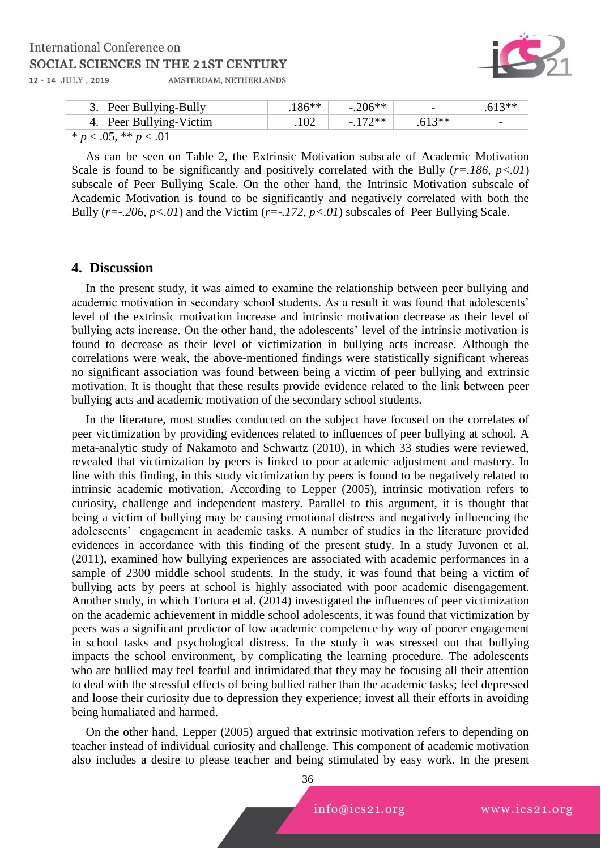

| 3. Peer Bullying-Bully  | $.186**$ | $-.206**$ | $\overline{\phantom{0}}$ | $.613**$                 |
|-------------------------|----------|-----------|--------------------------|--------------------------|
| 4. Peer Bullying-Victim |          | $-172**$  | $.613**$                 | $\overline{\phantom{0}}$ |
|                         |          |           |                          |                          |

 $* p < .05, ** p < .01$ 

As can be seen on Table 2, the Extrinsic Motivation subscale of Academic Motivation Scale is found to be significantly and positively correlated with the Bully  $(r=.186, p<.01)$ subscale of Peer Bullying Scale. On the other hand, the Intrinsic Motivation subscale of Academic Motivation is found to be significantly and negatively correlated with both the Bully ( $r = -206$ ,  $p < 01$ ) and the Victim ( $r = -172$ ,  $p < 01$ ) subscales of Peer Bullying Scale.

#### **4. Discussion**

In the present study, it was aimed to examine the relationship between peer bullying and academic motivation in secondary school students. As a result it was found that adolescents' level of the extrinsic motivation increase and intrinsic motivation decrease as their level of bullying acts increase. On the other hand, the adolescents' level of the intrinsic motivation is found to decrease as their level of victimization in bullying acts increase. Although the correlations were weak, the above-mentioned findings were statistically significant whereas no significant association was found between being a victim of peer bullying and extrinsic motivation. It is thought that these results provide evidence related to the link between peer bullying acts and academic motivation of the secondary school students.

In the literature, most studies conducted on the subject have focused on the correlates of peer victimization by providing evidences related to influences of peer bullying at school. A meta-analytic study of Nakamoto and Schwartz (2010), in which 33 studies were reviewed, revealed that victimization by peers is linked to poor academic adjustment and mastery. In line with this finding, in this study victimization by peers is found to be negatively related to intrinsic academic motivation. According to Lepper (2005), intrinsic motivation refers to curiosity, challenge and independent mastery. Parallel to this argument, it is thought that being a victim of bullying may be causing emotional distress and negatively influencing the adolescents' engagement in academic tasks. A number of studies in the literature provided evidences in accordance with this finding of the present study. In a study Juvonen et al. (2011), examined how bullying experiences are associated with academic performances in a sample of 2300 middle school students. In the study, it was found that being a victim of bullying acts by peers at school is highly associated with poor academic disengagement. Another study, in which Tortura et al. (2014) investigated the influences of peer victimization on the academic achievement in middle school adolescents, it was found that victimization by peers was a significant predictor of low academic competence by way of poorer engagement in school tasks and psychological distress. In the study it was stressed out that bullying impacts the school environment, by complicating the learning procedure. The adolescents who are bullied may feel fearful and intimidated that they may be focusing all their attention to deal with the stressful effects of being bullied rather than the academic tasks; feel depressed and loose their curiosity due to depression they experience; invest all their efforts in avoiding being humaliated and harmed.

On the other hand, Lepper (2005) argued that extrinsic motivation refers to depending on teacher instead of individual curiosity and challenge. This component of academic motivation also includes a desire to please teacher and being stimulated by easy work. In the present

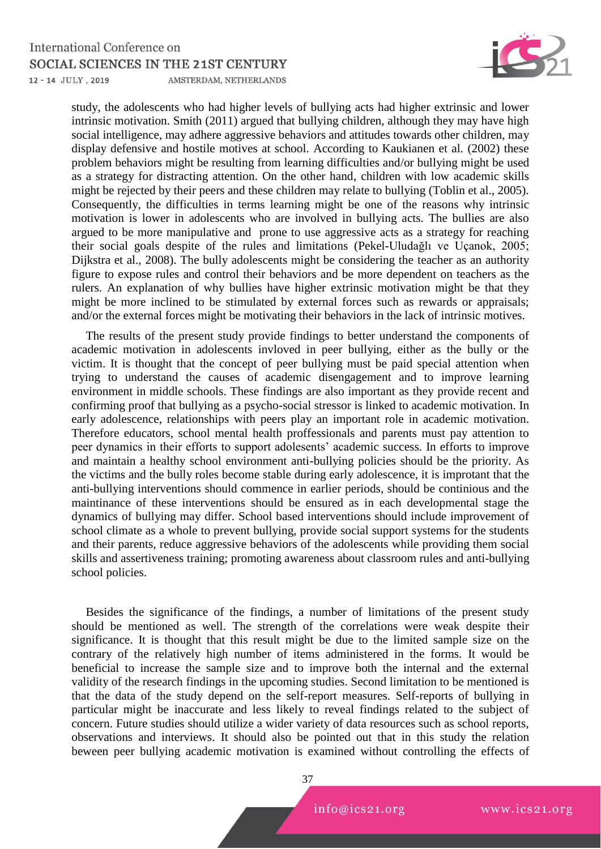#### **International Conference on** SOCIAL SCIENCES IN THE 21ST CENTURY 12 - 14 JULY, 2019 AMSTERDAM, NETHERLANDS



study, the adolescents who had higher levels of bullying acts had higher extrinsic and lower intrinsic motivation. Smith (2011) argued that bullying children, although they may have high social intelligence, may adhere aggressive behaviors and attitudes towards other children, may display defensive and hostile motives at school. According to Kaukianen et al. (2002) these problem behaviors might be resulting from learning difficulties and/or bullying might be used as a strategy for distracting attention. On the other hand, children with low academic skills might be rejected by their peers and these children may relate to bullying (Toblin et al., 2005). Consequently, the difficulties in terms learning might be one of the reasons why intrinsic motivation is lower in adolescents who are involved in bullying acts. The bullies are also argued to be more manipulative and prone to use aggressive acts as a strategy for reaching their social goals despite of the rules and limitations (Pekel-Uludağlı ve Uçanok, 2005; Dijkstra et al., 2008). The bully adolescents might be considering the teacher as an authority figure to expose rules and control their behaviors and be more dependent on teachers as the rulers. An explanation of why bullies have higher extrinsic motivation might be that they might be more inclined to be stimulated by external forces such as rewards or appraisals; and/or the external forces might be motivating their behaviors in the lack of intrinsic motives.

The results of the present study provide findings to better understand the components of academic motivation in adolescents invloved in peer bullying, either as the bully or the victim. It is thought that the concept of peer bullying must be paid special attention when trying to understand the causes of academic disengagement and to improve learning environment in middle schools. These findings are also important as they provide recent and confirming proof that bullying as a psycho-social stressor is linked to academic motivation. In early adolescence, relationships with peers play an important role in academic motivation. Therefore educators, school mental health proffessionals and parents must pay attention to peer dynamics in their efforts to support adolesents' academic success. In efforts to improve and maintain a healthy school environment anti-bullying policies should be the priority. As the victims and the bully roles become stable during early adolescence, it is improtant that the anti-bullying interventions should commence in earlier periods, should be continious and the maintinance of these interventions should be ensured as in each developmental stage the dynamics of bullying may differ. School based interventions should include improvement of  $\frac{3}{5}$  school climate as a whole to prevent bullying, provide social support systems for the students and their parents, reduce aggressive behaviors of the adolescents while providing them social skills and assertiveness training; promoting awareness about classroom rules and anti-bullying school policies.

Besides the significance of the findings, a number of limitations of the present study should be mentioned as well. The strength of the correlations were weak despite their significance. It is thought that this result might be due to the limited sample size on the contrary of the relatively high number of items administered in the forms. It would be beneficial to increase the sample size and to improve both the internal and the external validity of the research findings in the upcoming studies. Second limitation to be mentioned is that the data of the study depend on the self-report measures. Self-reports of bullying in particular might be inaccurate and less likely to reveal findings related to the subject of concern. Future studies should utilize a wider variety of data resources such as school reports, observations and interviews. It should also be pointed out that in this study the relation beween peer bullying academic motivation is examined without controlling the effects of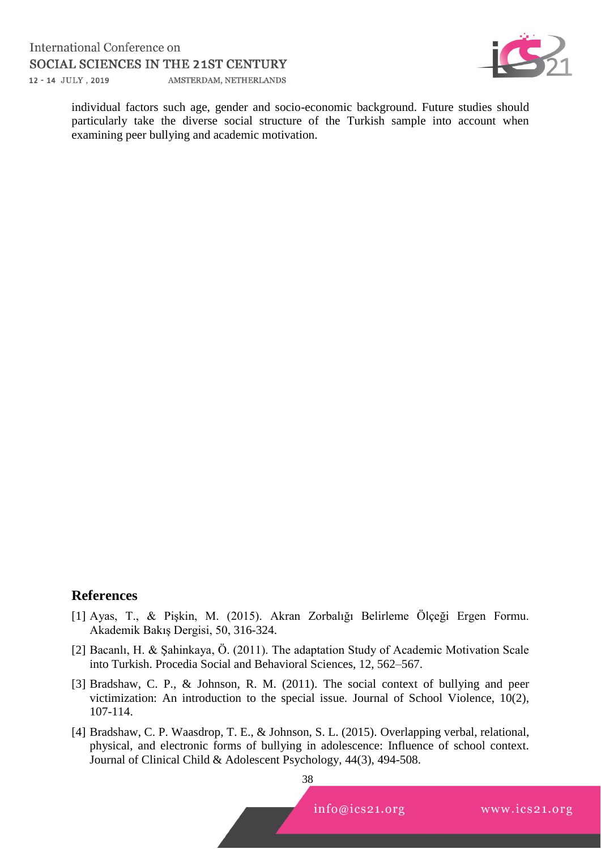

individual factors such age, gender and socio-economic background. Future studies should particularly take the diverse social structure of the Turkish sample into account when examining peer bullying and academic motivation.

# **References**

- [1] Ayas, T., & Pişkin, M. (2015). Akran Zorbalığı Belirleme Ölçeği Ergen Formu. Akademik Bakış Dergisi, 50, 316-324.
- [2] Bacanlı, H. & Şahinkaya, Ö. (2011). The adaptation Study of Academic Motivation Scale into Turkish. Procedia Social and Behavioral Sciences, 12, 562–567.
- [3] Bradshaw, C. P., & Johnson, R. M. (2011). The social context of bullying and peer victimization: An introduction to the special issue. Journal of School Violence, 10(2), 107-114.
- [4] Bradshaw, C. P. Waasdrop, T. E., & Johnson, S. L. (2015). Overlapping verbal, relational, physical, and electronic forms of bullying in adolescence: Influence of school context. Journal of Clinical Child & Adolescent Psychology, 44(3), 494-508.

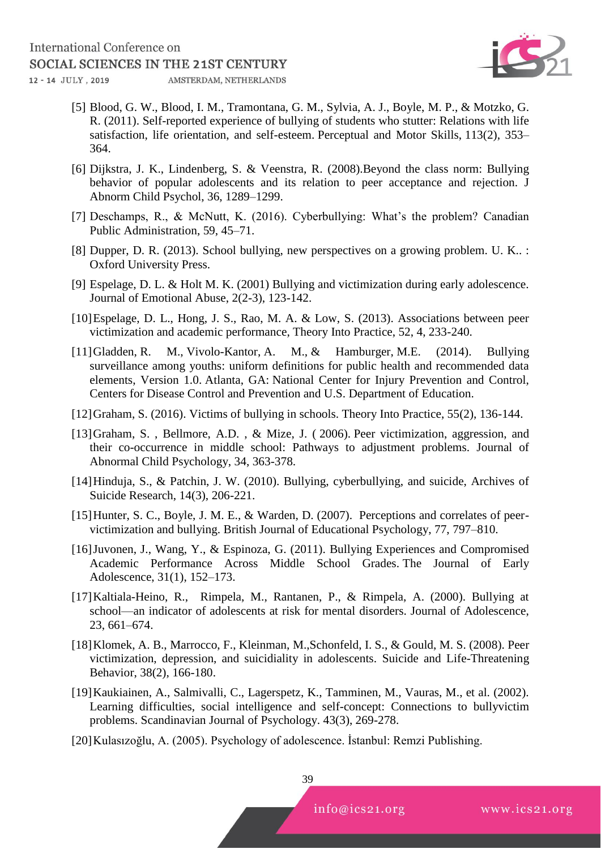

- [5] Blood, G. W., Blood, I. M., Tramontana, G. M., Sylvia, A. J., Boyle, M. P., & Motzko, G. R. (2011). Self-reported experience of bullying of students who stutter: Relations with life satisfaction, life orientation, and self-esteem. Perceptual and Motor Skills, 113(2), 353– 364.
- [6] Dijkstra, J. K., Lindenberg, S. & Veenstra, R. (2008).Beyond the class norm: Bullying behavior of popular adolescents and its relation to peer acceptance and rejection. J Abnorm Child Psychol, 36, 1289–1299.
- [7] Deschamps, R., & McNutt, K. (2016). Cyberbullying: What's the problem? Canadian Public Administration, 59, 45–71.
- [8] Dupper, D. R. (2013). School bullying, new perspectives on a growing problem. U. K.. : Oxford University Press.
- [9] Espelage, D. L. & Holt M. K. (2001) Bullying and victimization during early adolescence. Journal of Emotional Abuse, 2(2-3), 123-142.
- [10]Espelage, D. L., Hong, J. S., Rao, M. A. & Low, S. (2013). Associations between peer victimization and academic performance, Theory Into Practice, 52, 4, 233-240.
- [11]Gladden, R. M., Vivolo-Kantor, A. M., & Hamburger, M.E. (2014). Bullying surveillance among youths: uniform definitions for public health and recommended data elements, Version 1.0. Atlanta, GA: National Center for Injury Prevention and Control, Centers for Disease Control and Prevention and U.S. Department of Education.
- [12]Graham, S. (2016). Victims of bullying in schools. Theory Into Practice, 55(2), 136-144.
- [13]Graham, S. , Bellmore, A.D. , & Mize, J. ( 2006). Peer victimization, aggression, and their co-occurrence in middle school: Pathways to adjustment problems. Journal of Abnormal Child Psychology, 34, 363-378.
- [14]Hinduja, S., & Patchin, J. W. (2010). Bullying, cyberbullying, and suicide, Archives of Suicide Research, 14(3), 206-221.
- [15] Hunter, S. C., Boyle, J. M. E., & Warden, D. (2007). Perceptions and correlates of peervictimization and bullying. British Journal of Educational Psychology, 77, 797–810.
- [16]Juvonen, J., Wang, Y., & Espinoza, G. (2011). Bullying Experiences and Compromised Academic Performance Across Middle School Grades. The Journal of Early Adolescence, 31(1), 152–173.
- [17]Kaltiala-Heino, R., Rimpela, M., Rantanen, P., & Rimpela, A. (2000). Bullying at school—an indicator of adolescents at risk for mental disorders. Journal of Adolescence, 23, 661–674.
- [18]Klomek, A. B., Marrocco, F., Kleinman, M.,Schonfeld, I. S., & Gould, M. S. (2008). Peer victimization, depression, and suicidiality in adolescents. Suicide and Life-Threatening Behavior, 38(2), 166-180.
- [19]Kaukiainen, A., Salmivalli, C., Lagerspetz, K., Tamminen, M., Vauras, M., et al. (2002). Learning difficulties, social intelligence and self-concept: Connections to bullyvictim problems. Scandinavian Journal of Psychology. 43(3), 269-278.
- [20]Kulasızoğlu, A. (2005). Psychology of adolescence. İstanbul: Remzi Publishing.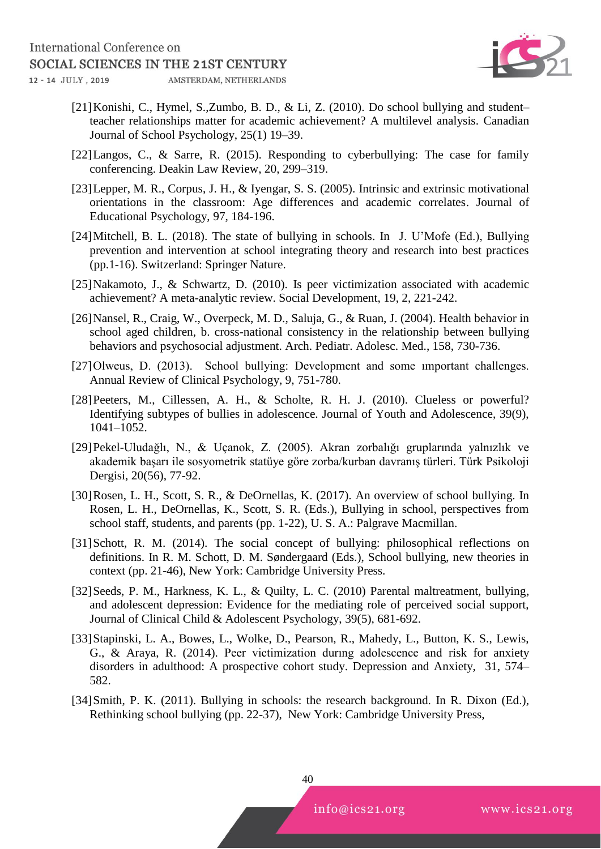

- [21]Konishi, C., Hymel, S.,Zumbo, B. D., & Li, Z. (2010). Do school bullying and student– teacher relationships matter for academic achievement? A multilevel analysis. Canadian Journal of School Psychology, 25(1) 19–39.
- [22]Langos, C., & Sarre, R. (2015). Responding to cyberbullying: The case for family conferencing. Deakin Law Review, 20, 299–319.
- [23]Lepper, M. R., Corpus, J. H., & Iyengar, S. S. (2005). Intrinsic and extrinsic motivational orientations in the classroom: Age differences and academic correlates. Journal of Educational Psychology, 97, 184-196.
- [24]Mitchell, B. L. (2018). The state of bullying in schools. In J. U'Mofe (Ed.), Bullying prevention and intervention at school integrating theory and research into best practices (pp.1-16). Switzerland: Springer Nature.
- [25]Nakamoto, J., & Schwartz, D. (2010). Is peer victimization associated with academic achievement? A meta-analytic review. Social Development, 19, 2, 221-242.
- [26]Nansel, R., Craig, W., Overpeck, M. D., Saluja, G., & Ruan, J. (2004). Health behavior in school aged children, b. cross-national consistency in the relationship between bullying behaviors and psychosocial adjustment. Arch. Pediatr. Adolesc. Med., 158, 730-736.
- [27]Olweus, D. (2013). School bullying: Development and some important challenges. Annual Review of Clinical Psychology, 9, 751-780.
- [28]Peeters, M., Cillessen, A. H., & Scholte, R. H. J. (2010). Clueless or powerful? Identifying subtypes of bullies in adolescence. Journal of Youth and Adolescence, 39(9), 1041–1052.
- [29]Pekel-Uludağlı, N., & Uçanok, Z. (2005). Akran zorbalığı gruplarında yalnızlık ve akademik başarı ile sosyometrik statüye göre zorba/kurban davranış türleri. Türk Psikoloji Dergisi, 20(56), 77-92.
- [30]Rosen, L. H., Scott, S. R., & DeOrnellas, K. (2017). An overview of school bullying. In Rosen, L. H., DeOrnellas, K., Scott, S. R. (Eds.), Bullying in school, perspectives from school staff, students, and parents (pp. 1-22), U. S. A.: Palgrave Macmillan.
- [31]Schott, R. M. (2014). The social concept of bullying: philosophical reflections on definitions. In R. M. Schott, D. M. Søndergaard (Eds.), School bullying, new theories in context (pp. 21-46), New York: Cambridge University Press.
- [32]Seeds, P. M., Harkness, K. L., & Quilty, L. C. (2010) Parental maltreatment, bullying, and adolescent depression: Evidence for the mediating role of perceived social support, Journal of Clinical Child & Adolescent Psychology, 39(5), 681-692.
- [33]Stapinski, L. A., Bowes, L., Wolke, D., Pearson, R., Mahedy, L., Button, K. S., Lewis, G., & Araya, R. (2014). Peer victimization durıng adolescence and risk for anxiety disorders in adulthood: A prospective cohort study. Depression and Anxiety, 31, 574– 582.
- [34]Smith, P. K. (2011). Bullying in schools: the research background. In R. Dixon (Ed.), Rethinking school bullying (pp. 22-37), New York: Cambridge University Press,